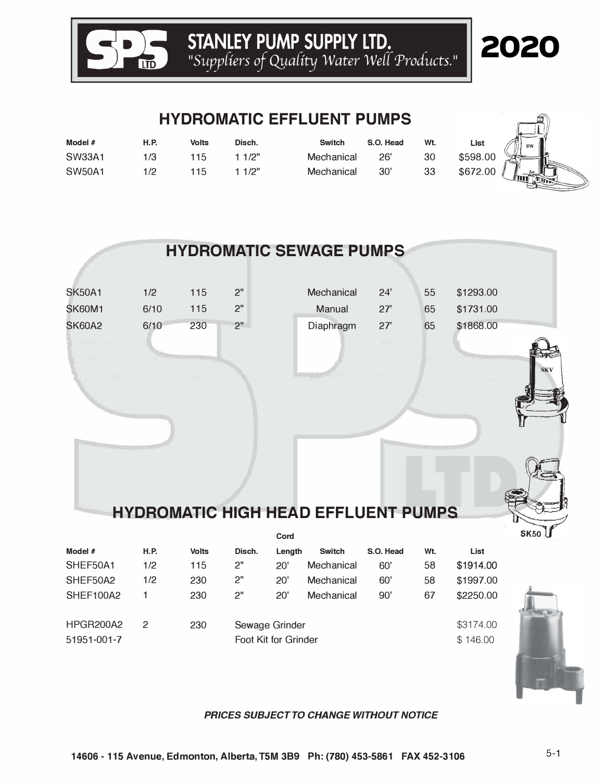

## 2020

 $\sqrt{2}$ 

 $\mathcal{F}$ 

#### **HYDROMATIC EFFLUENT PUMPS**

| Model $#$     | <b>H.P.</b> | <b>Volts</b> | Disch. | <b>Switch</b> | S.O. Head | Wt. | List     | $\sqrt{\frac{1}{2}}$ |
|---------------|-------------|--------------|--------|---------------|-----------|-----|----------|----------------------|
| <b>SW33A1</b> |             | 15           | 1/2"   | Mechanical    | 26'       | 30  | \$598.00 | $\frac{1}{2}$        |
| <b>SW50A1</b> | 1/2         | 15           | 1/2"   | Mechanical    | 30'       | 33  | \$672.00 | $\Box$               |

|               |             |              |        |        | <b>HYDROMATIC SEWAGE PUMPS</b>             |           |     |           |             |
|---------------|-------------|--------------|--------|--------|--------------------------------------------|-----------|-----|-----------|-------------|
|               |             |              |        |        |                                            |           |     |           |             |
| <b>SK50A1</b> | 1/2         | 115          | 2"     |        | Mechanical                                 | 24'       | 55  | \$1293.00 |             |
| <b>SK60M1</b> | 6/10        | 115          | 2"     |        | Manual                                     | 27'       | 65  | \$1731.00 |             |
| <b>SK60A2</b> | 6/10        | 230          | 2"     |        | Diaphragm                                  | 27'       | 65  | \$1868.00 |             |
|               |             |              |        |        |                                            |           |     |           |             |
|               |             |              |        |        |                                            |           |     |           | <b>SKV</b>  |
|               |             |              |        |        |                                            |           |     |           |             |
|               |             |              |        |        |                                            |           |     |           |             |
|               |             |              |        |        |                                            |           |     |           |             |
|               |             |              |        |        |                                            |           |     |           |             |
|               |             |              |        |        |                                            |           |     |           |             |
|               |             |              |        |        |                                            |           |     |           |             |
|               |             |              |        |        |                                            |           |     |           |             |
|               |             |              |        |        | <b>HYDROMATIC HIGH HEAD EFFLUENT PUMPS</b> |           |     |           |             |
|               |             |              |        | Cord   |                                            |           |     |           | <b>SK50</b> |
| Model #       | <b>H.P.</b> | <b>Volts</b> | Disch. | Length | <b>Switch</b>                              | S.O. Head | Wt. | List      |             |
| SHEF50A1      | 1/2         | 115          | 2"     | 20'    | Mechanical                                 | 60'       | 58  | \$1914.00 |             |

| Model $#$<br>SHEF50A1<br>SHEF50A2<br>SHEF100A2 | <b>H.P.</b><br>1/2<br>1/2 | <b>Volts</b><br>115<br>230<br>230 | Disch.<br>2"<br>2"<br>2"               | Length<br>20'<br>20'<br>20' | <b>Switch</b><br>Mechanical<br>Mechanical<br>Mechanical | S.O. Head<br>60'<br>60'<br>90' | Wt.<br>58<br>58<br>67 | List<br>\$1914.00<br>\$1997.00<br>\$2250.00 |  |
|------------------------------------------------|---------------------------|-----------------------------------|----------------------------------------|-----------------------------|---------------------------------------------------------|--------------------------------|-----------------------|---------------------------------------------|--|
| HPGR200A2<br>51951-001-7                       | $\mathcal{P}$             | 230                               | Sewage Grinder<br>Foot Kit for Grinder |                             |                                                         |                                |                       | \$3174.00<br>\$146.00                       |  |

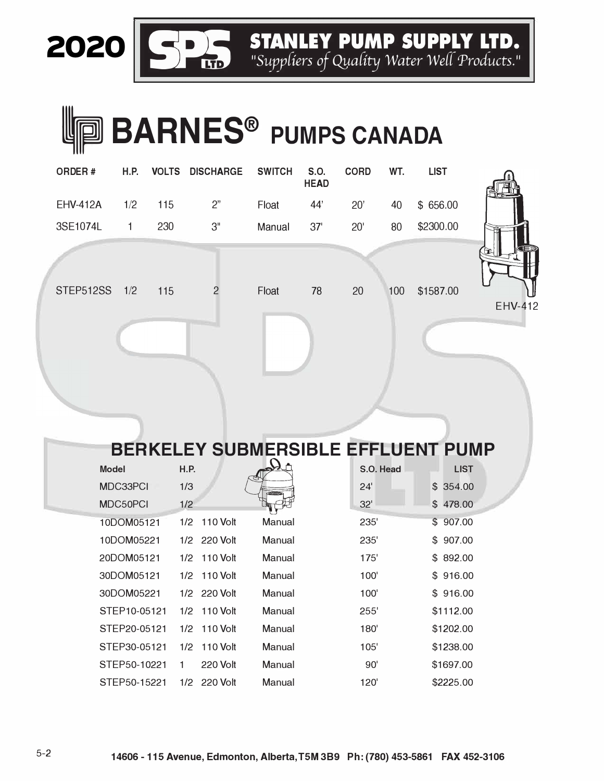**2020 SPA STANLEY PUMP SUPPLY LTD.**<br>"Suppliers of Quality Water Well Products."

# **ID BARNES<sup>®</sup> PUMPS CANADA**

| ORDER#          | H.P. |     | <b>VOLTS DISCHARGE SWITCH</b> |        | S.O.<br><b>HEAD</b> | <b>CORD</b>  | WT. | <b>LIST</b> |  |
|-----------------|------|-----|-------------------------------|--------|---------------------|--------------|-----|-------------|--|
| <b>EHV-412A</b> | 1/2  | 115 | 2"                            | Float  | 44'                 | 20'          | 40  | \$ 656.00   |  |
| 3SE1074L        | 1    | 230 | 3"                            | Manual | 37'                 | $20^{\circ}$ | 80  | \$2300.00   |  |
|                 |      |     |                               |        |                     |              |     |             |  |
| STEP512SS 1/2   |      | 115 | 2                             | Float  | 78                  | 20           | 100 | \$1587.00   |  |
|                 |      |     |                               |        |                     |              |     |             |  |



|              |      |                 |               | <b>BERKELEY SUBMERSIBLE EFFLUENT PUMP</b> |             |
|--------------|------|-----------------|---------------|-------------------------------------------|-------------|
| <b>Model</b> | H.P. |                 |               | S.O. Head                                 | <b>LIST</b> |
| MDC33PCI     | 1/3  |                 | <b>Common</b> | 24'                                       | \$354.00    |
| MDC50PCI     | 1/2  |                 |               | 32'                                       | \$478.00    |
| 10DOM05121   | 1/2  | <b>110 Volt</b> | Manual        | 235'                                      | \$907.00    |
| 10DOM05221   |      | $1/2$ 220 Volt  | Manual        | 235'                                      | \$907.00    |
| 20DOM05121   | 1/2  | $110$ Volt      | Manual        | 175'                                      | \$892.00    |
| 30DOM05121   | 1/2  | 110 Volt        | Manual        | 100'                                      | \$916.00    |
| 30DOM05221   |      | $1/2$ 220 Volt  | Manual        | 100'                                      | \$916.00    |
| STFP10-05121 |      | $1/2$ 110 Volt  | Manual        | 255'                                      | \$1112.00   |
| STEP20-05121 | 1/2  | 110 Volt        | Manual        | 180'                                      | \$1202.00   |
| STEP30-05121 | 1/2  | $110$ Volt      | Manual        | 105'                                      | \$1238.00   |
| STEP50-10221 | 1    | 220 Volt        | Manual        | 90'                                       | \$1697.00   |
| STEP50-15221 | 1/2  | 220 Volt        | Manual        | 120'                                      | \$2225.00   |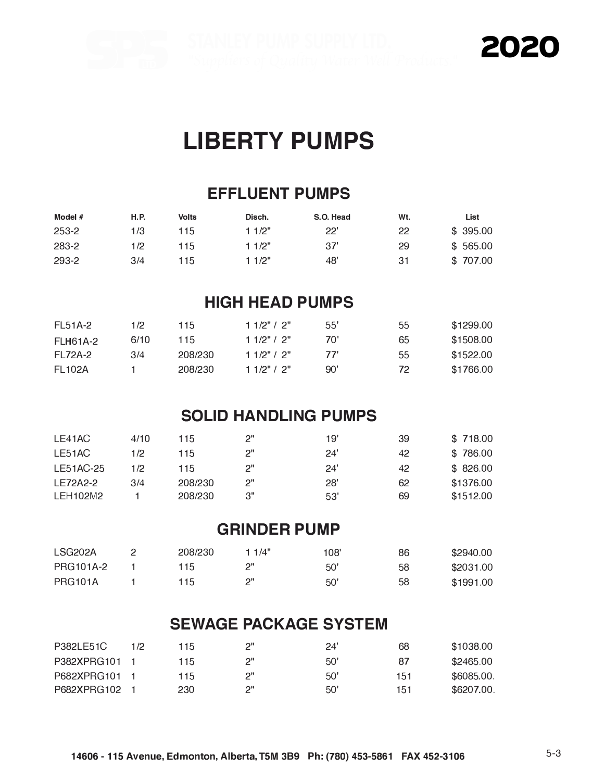2020

## **LIBERTY PUMPS**

#### **EFFLUENT PUMPS**

| Model $#$ | <b>H.P.</b> | Volts | Disch. | S.O. Head | Wt. | List     |
|-----------|-------------|-------|--------|-----------|-----|----------|
| 253-2     | 1/3         | 115   | 11/2"  | 22'       | 22  | \$395.00 |
| 283-2     | 1/2         | 115   | 1 1/2" | 37'       | 29  | \$565.00 |
| 293-2     | 3/4         | 115   | 11/2"  | 48'       | 31  | \$707.00 |

#### **HIGH HEAD PUMPS**

| <b>FL51A-2</b> | 1/2  | 115     | 11/2" / 2"    | 55" | 55 | \$1299.00 |
|----------------|------|---------|---------------|-----|----|-----------|
| FI H61A-2      | 6/10 | 115     | 11/2" / 2"    | 70' | 65 | \$1508.00 |
| FI 72A-2       | 3/4  | 208/230 | 11/2" / 2"    | 77' | 55 | \$1522.00 |
| FI 102A        |      | 208/230 | 1 1/2" / $2"$ | 90' | 72 | \$1766.00 |

#### **SOLID HANDLING PUMPS**

| LE41AC    | 4/10 | 115     | ייפ | 19' | 39 | \$718.00  |
|-----------|------|---------|-----|-----|----|-----------|
| I F51AC   | 1/2  | 115     | ייפ | 24' | 42 | \$786.00  |
| LE51AC-25 | 112  | 115     | ייפ | 24' | 42 | \$826.00  |
| I F72A2-2 | 3/4  | 208/230 | ייפ | 28' | 62 | \$1376.00 |
| I FH102M2 |      | 208/230 | 3"  | 53' | 69 | \$1512.00 |

#### **GRINDER PUMP**

| LSG <sub>202</sub> A | 208/230 | 11/4" | 108' | 86 | \$2940.00 |
|----------------------|---------|-------|------|----|-----------|
| <b>PRG101A-2</b>     | 115     |       | 50'  | 58 | \$2031.00 |
| <b>PRG101A</b>       | 115.    | ייכ   | 50'  | 58 | \$1991.00 |

#### **SEWAGE PACKAGE SYSTEM**

| P382LE51C   | 172 | 115 | ייפ | 24' | 68  | \$1038.00  |
|-------------|-----|-----|-----|-----|-----|------------|
| P382XPRG101 |     | 115 | ייפ | 50' | 87  | \$2465.00  |
| P682XPRG101 |     | 115 | ייכ | 50' | 151 | \$6085,00. |
| P682XPRG102 |     | 230 | ייכ | 50' | 151 | \$6207.00. |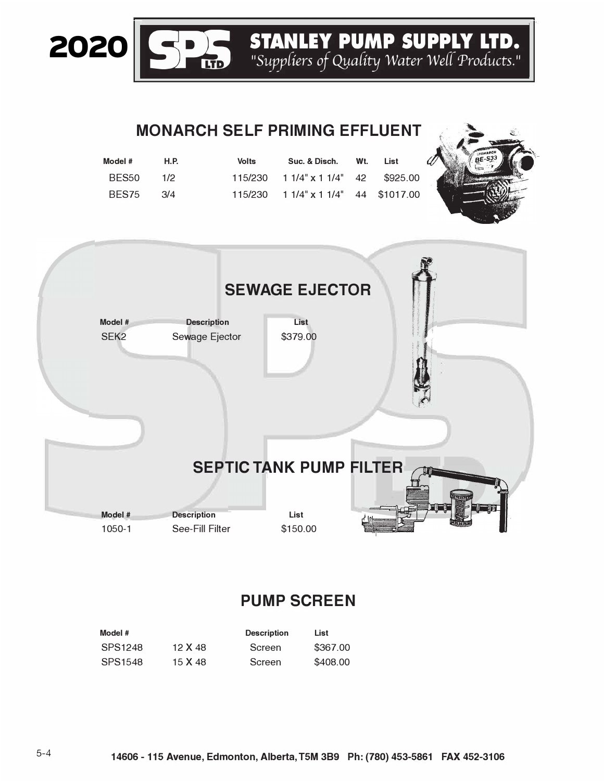**STANLEY PUMP SUPPLY LTD.**<br>"Suppliers of Quality Water Well Products."

### **MONARCH SELF PRIMING EFFLUENT**

| Model # | H.P. | Volts | Suc. & Disch.                               | Wt. | List |
|---------|------|-------|---------------------------------------------|-----|------|
| BES50   | 1/2  |       | $115/230$ $11/4$ " $x 11/4$ " $42$ \$925.00 |     |      |
| BFS75   | 3/4  |       | $115/230$ $11/4$ " $x 11/4$ " 44 \$1017.00  |     |      |



#### **PUMP SCREEN**

| Model # |         | <b>Description</b> | List     |
|---------|---------|--------------------|----------|
| SPS1248 | 12 X 48 | Screen             | \$367.00 |
| SPS1548 | 15 X 48 | Screen             | \$408.00 |

2020